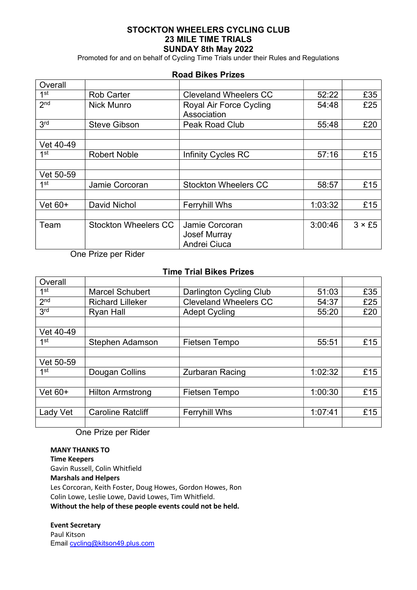## STOCKTON WHEELERS CYCLING CLUB 23 MILE TIME TRIALS SUNDAY 8th May 2022

Promoted for and on behalf of Cycling Time Trials under their Rules and Regulations

### Road Bikes Prizes

| Overall         |                             |                                        |         |               |
|-----------------|-----------------------------|----------------------------------------|---------|---------------|
| 1st             | <b>Rob Carter</b>           | <b>Cleveland Wheelers CC</b>           | 52:22   | £35           |
| 2 <sub>nd</sub> | <b>Nick Munro</b>           | Royal Air Force Cycling<br>Association | 54:48   | £25           |
| 3 <sup>rd</sup> | <b>Steve Gibson</b>         | Peak Road Club                         | 55:48   | £20           |
| Vet 40-49       |                             |                                        |         |               |
| 1st             | <b>Robert Noble</b>         | <b>Infinity Cycles RC</b>              | 57:16   | £15           |
| Vet 50-59       |                             |                                        |         |               |
| 1st             | Jamie Corcoran              | <b>Stockton Wheelers CC</b>            | 58:57   | £15           |
| Vet $60+$       | <b>David Nichol</b>         | <b>Ferryhill Whs</b>                   | 1:03:32 | £15           |
| Team            | <b>Stockton Wheelers CC</b> | Jamie Corcoran                         | 3:00:46 | $3 \times £5$ |
|                 |                             | <b>Josef Murray</b><br>Andrei Ciuca    |         |               |

One Prize per Rider

## Time Trial Bikes Prizes

| Overall         |                                          |                              |         |     |
|-----------------|------------------------------------------|------------------------------|---------|-----|
| 1 <sup>st</sup> | <b>Marcel Schubert</b>                   | Darlington Cycling Club      | 51:03   | £35 |
| 2 <sub>nd</sub> | <b>Richard Lilleker</b>                  | <b>Cleveland Wheelers CC</b> | 54:37   | £25 |
| 3 <sup>rd</sup> | <b>Ryan Hall</b><br><b>Adept Cycling</b> |                              |         | £20 |
|                 |                                          |                              |         |     |
| Vet 40-49       |                                          |                              |         |     |
| 1st             | Stephen Adamson                          | Fietsen Tempo                | 55:51   | £15 |
|                 |                                          |                              |         |     |
| Vet 50-59       |                                          |                              |         |     |
| 1st             | Dougan Collins                           | <b>Zurbaran Racing</b>       | 1:02:32 | £15 |
|                 |                                          |                              |         |     |
| Vet $60+$       | <b>Hilton Armstrong</b>                  | Fietsen Tempo                | 1:00:30 | £15 |
|                 |                                          |                              |         |     |
| Lady Vet        | <b>Caroline Ratcliff</b>                 | <b>Ferryhill Whs</b>         | 1:07:41 | £15 |
|                 |                                          |                              |         |     |

One Prize per Rider

# MANY THANKS TO

Time Keepers Gavin Russell, Colin Whitfield Marshals and Helpers Les Corcoran, Keith Foster, Doug Howes, Gordon Howes, Ron Colin Lowe, Leslie Lowe, David Lowes, Tim Whitfield. Without the help of these people events could not be held.

### Event Secretary

Paul Kitson Email cycling@kitson49.plus.com